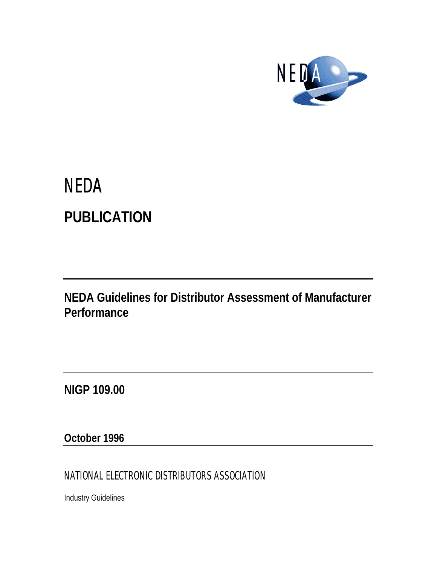

# **NEDA PUBLICATION**

**NEDA Guidelines for Distributor Assessment of Manufacturer Performance**

**NIGP 109.00**

**October 1996**

NATIONAL ELECTRONIC DISTRIBUTORS ASSOCIATION

Industry Guidelines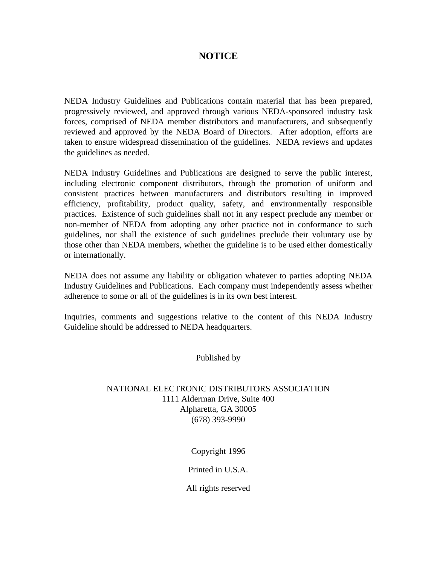# **NOTICE**

NEDA Industry Guidelines and Publications contain material that has been prepared, progressively reviewed, and approved through various NEDA-sponsored industry task forces, comprised of NEDA member distributors and manufacturers, and subsequently reviewed and approved by the NEDA Board of Directors. After adoption, efforts are taken to ensure widespread dissemination of the guidelines. NEDA reviews and updates the guidelines as needed.

NEDA Industry Guidelines and Publications are designed to serve the public interest, including electronic component distributors, through the promotion of uniform and consistent practices between manufacturers and distributors resulting in improved efficiency, profitability, product quality, safety, and environmentally responsible practices. Existence of such guidelines shall not in any respect preclude any member or non-member of NEDA from adopting any other practice not in conformance to such guidelines, nor shall the existence of such guidelines preclude their voluntary use by those other than NEDA members, whether the guideline is to be used either domestically or internationally.

NEDA does not assume any liability or obligation whatever to parties adopting NEDA Industry Guidelines and Publications. Each company must independently assess whether adherence to some or all of the guidelines is in its own best interest.

Inquiries, comments and suggestions relative to the content of this NEDA Industry Guideline should be addressed to NEDA headquarters.

Published by

# NATIONAL ELECTRONIC DISTRIBUTORS ASSOCIATION 1111 Alderman Drive, Suite 400 Alpharetta, GA 30005 (678) 393-9990

Copyright 1996

Printed in U.S.A.

All rights reserved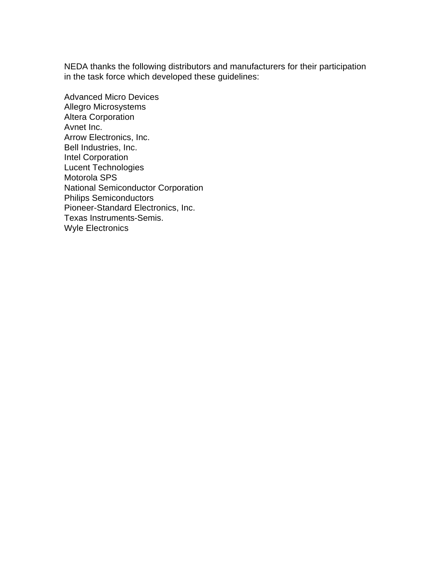NEDA thanks the following distributors and manufacturers for their participation in the task force which developed these guidelines:

Advanced Micro Devices Allegro Microsystems Altera Corporation Avnet Inc. Arrow Electronics, Inc. Bell Industries, Inc. Intel Corporation Lucent Technologies Motorola SPS National Semiconductor Corporation Philips Semiconductors Pioneer-Standard Electronics, Inc. Texas Instruments-Semis. Wyle Electronics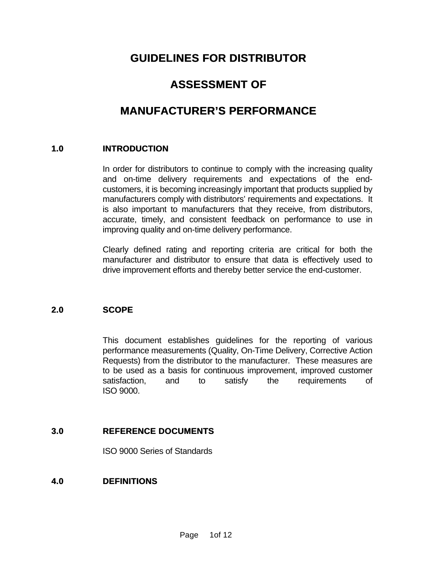# **GUIDELINES FOR DISTRIBUTOR**

# **ASSESSMENT OF**

# **MANUFACTURER'S PERFORMANCE**

# **1.0 INTRODUCTION**

In order for distributors to continue to comply with the increasing quality and on-time delivery requirements and expectations of the endcustomers, it is becoming increasingly important that products supplied by manufacturers comply with distributors' requirements and expectations. It is also important to manufacturers that they receive, from distributors, accurate, timely, and consistent feedback on performance to use in improving quality and on-time delivery performance.

Clearly defined rating and reporting criteria are critical for both the manufacturer and distributor to ensure that data is effectively used to drive improvement efforts and thereby better service the end-customer.

# **2.0 SCOPE**

This document establishes guidelines for the reporting of various performance measurements (Quality, On-Time Delivery, Corrective Action Requests) from the distributor to the manufacturer. These measures are to be used as a basis for continuous improvement, improved customer satisfaction, and to satisfy the requirements of ISO 9000.

# **3.0 REFERENCE DOCUMENTS**

ISO 9000 Series of Standards

# **4.0 DEFINITIONS**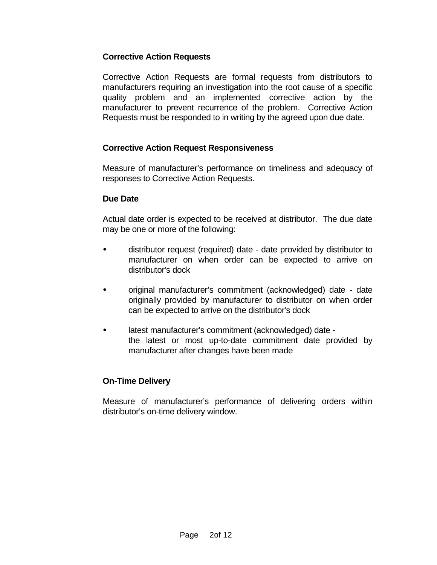# **Corrective Action Requests**

Corrective Action Requests are formal requests from distributors to manufacturers requiring an investigation into the root cause of a specific quality problem and an implemented corrective action by the manufacturer to prevent recurrence of the problem. Corrective Action Requests must be responded to in writing by the agreed upon due date.

# **Corrective Action Request Responsiveness**

Measure of manufacturer's performance on timeliness and adequacy of responses to Corrective Action Requests.

# **Due Date**

Actual date order is expected to be received at distributor. The due date may be one or more of the following:

- distributor request (required) date date provided by distributor to manufacturer on when order can be expected to arrive on distributor's dock
- ü original manufacturer's commitment (acknowledged) date date originally provided by manufacturer to distributor on when order can be expected to arrive on the distributor's dock
- latest manufacturer's commitment (acknowledged) date the latest or most up-to-date commitment date provided by manufacturer after changes have been made

# **On-Time Delivery**

Measure of manufacturer's performance of delivering orders within distributor's on-time delivery window.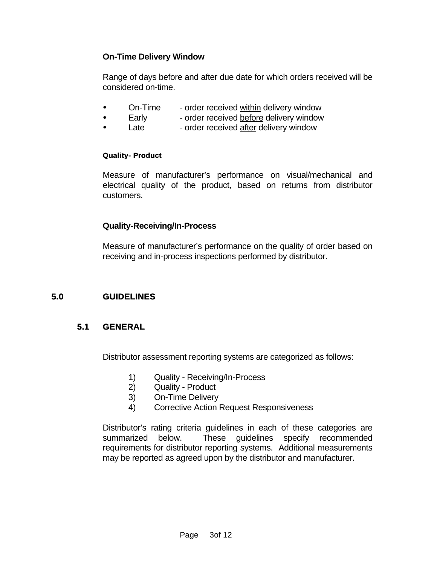# **On-Time Delivery Window**

Range of days before and after due date for which orders received will be considered on-time.

- On-Time order received within delivery window
- Early order received before delivery window
- Late order received after delivery window

# **Quality- Product**

Measure of manufacturer's performance on visual/mechanical and electrical quality of the product, based on returns from distributor customers.

# **Quality-Receiving/In-Process**

Measure of manufacturer's performance on the quality of order based on receiving and in-process inspections performed by distributor.

# **5.0 GUIDELINES**

# **5.1 GENERAL**

Distributor assessment reporting systems are categorized as follows:

- 1) Quality Receiving/In-Process
- 2) Quality Product
- 3) On-Time Delivery
- 4) Corrective Action Request Responsiveness

Distributor's rating criteria guidelines in each of these categories are summarized below. These guidelines specify recommended requirements for distributor reporting systems. Additional measurements may be reported as agreed upon by the distributor and manufacturer.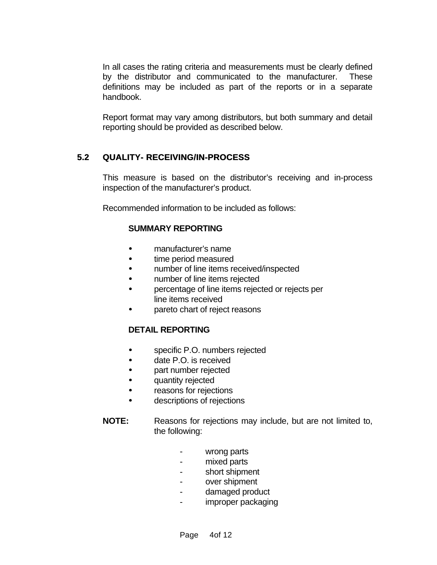In all cases the rating criteria and measurements must be clearly defined by the distributor and communicated to the manufacturer. These definitions may be included as part of the reports or in a separate handbook.

Report format may vary among distributors, but both summary and detail reporting should be provided as described below.

# **5.2 QUALITY- RECEIVING/IN-PROCESS**

This measure is based on the distributor's receiving and in-process inspection of the manufacturer's product.

Recommended information to be included as follows:

# **SUMMARY REPORTING**

- ü manufacturer's name
- time period measured
- number of line items received/inspected
- number of line items rejected
- ü percentage of line items rejected or rejects per line items received
- pareto chart of reject reasons

# **DETAIL REPORTING**

- specific P.O. numbers rejected
- date P.O. is received
- part number rejected
- quantity rejected
- reasons for rejections
- descriptions of rejections
- **NOTE:** Reasons for rejections may include, but are not limited to, the following:
	- wrong parts
	- mixed parts
	- short shipment
	- over shipment
	- damaged product
	- improper packaging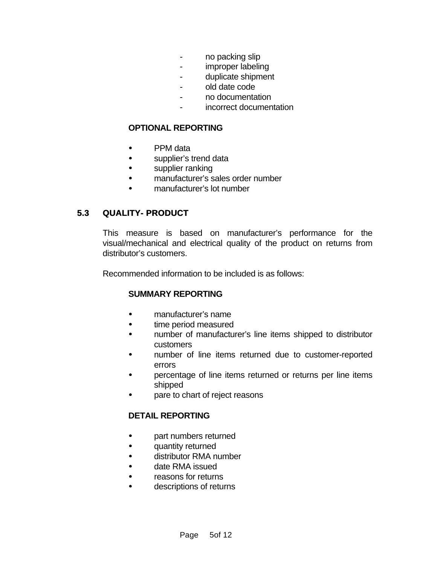- no packing slip
- improper labeling
- duplicate shipment
- old date code
- no documentation
- incorrect documentation

#### **OPTIONAL REPORTING**

- PPM data
- supplier's trend data
- supplier ranking
- manufacturer's sales order number
- ü manufacturer's lot number

# **5.3 QUALITY- PRODUCT**

This measure is based on manufacturer's performance for the visual/mechanical and electrical quality of the product on returns from distributor's customers.

Recommended information to be included is as follows:

# **SUMMARY REPORTING**

- manufacturer's name
- time period measured
- number of manufacturer's line items shipped to distributor customers
- number of line items returned due to customer-reported errors
- percentage of line items returned or returns per line items shipped
- pare to chart of reject reasons

# **DETAIL REPORTING**

- part numbers returned
- quantity returned
- distributor RMA number
- date RMA issued
- reasons for returns
- descriptions of returns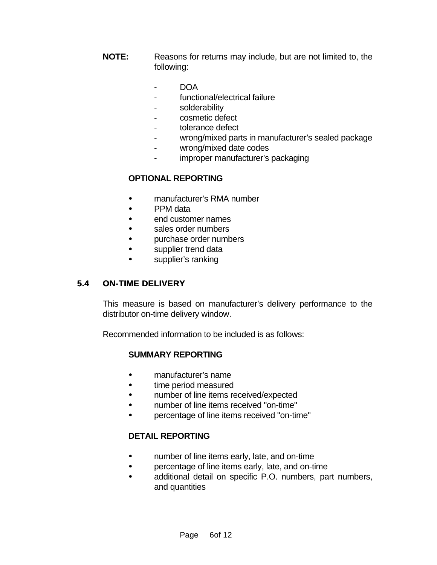- **NOTE:** Reasons for returns may include, but are not limited to, the following:
	- DOA
	- functional/electrical failure
	- solderability
	- cosmetic defect
	- tolerance defect
	- wrong/mixed parts in manufacturer's sealed package
	- wrong/mixed date codes
	- improper manufacturer's packaging

# **OPTIONAL REPORTING**

- ü manufacturer's RMA number
- PPM data
- ü end customer names
- sales order numbers
- purchase order numbers
- supplier trend data
- supplier's ranking

# **5.4 ON-TIME DELIVERY**

This measure is based on manufacturer's delivery performance to the distributor on-time delivery window.

Recommended information to be included is as follows:

# **SUMMARY REPORTING**

- manufacturer's name
- time period measured
- number of line items received/expected
- ü number of line items received "on-time"
- ü percentage of line items received "on-time"

# **DETAIL REPORTING**

- number of line items early, late, and on-time
- percentage of line items early, late, and on-time
- additional detail on specific P.O. numbers, part numbers, and quantities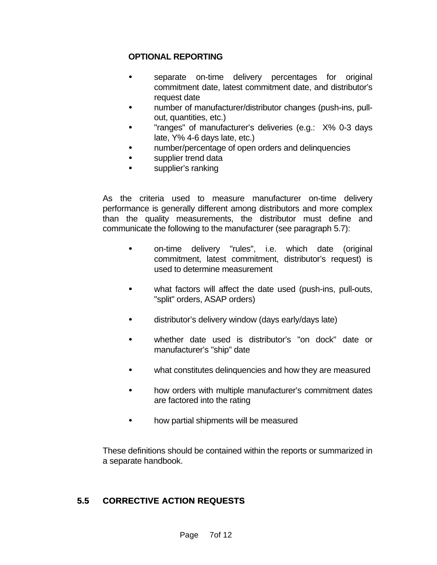# **OPTIONAL REPORTING**

- separate on-time delivery percentages for original commitment date, latest commitment date, and distributor's request date
- number of manufacturer/distributor changes (push-ins, pullout, quantities, etc.)
- "ranges" of manufacturer's deliveries (e.g.: X% 0-3 days late, Y% 4-6 days late, etc.)
- ü number/percentage of open orders and delinquencies
- supplier trend data
- supplier's ranking

As the criteria used to measure manufacturer on-time delivery performance is generally different among distributors and more complex than the quality measurements, the distributor must define and communicate the following to the manufacturer (see paragraph 5.7):

- ü on-time delivery "rules", i.e. which date (original commitment, latest commitment, distributor's request) is used to determine measurement
- what factors will affect the date used (push-ins, pull-outs, "split" orders, ASAP orders)
- distributor's delivery window (days early/days late)
- whether date used is distributor's "on dock" date or manufacturer's "ship" date
- what constitutes delinquencies and how they are measured
- how orders with multiple manufacturer's commitment dates are factored into the rating
- how partial shipments will be measured

These definitions should be contained within the reports or summarized in a separate handbook.

# **5.5 CORRECTIVE ACTION REQUESTS**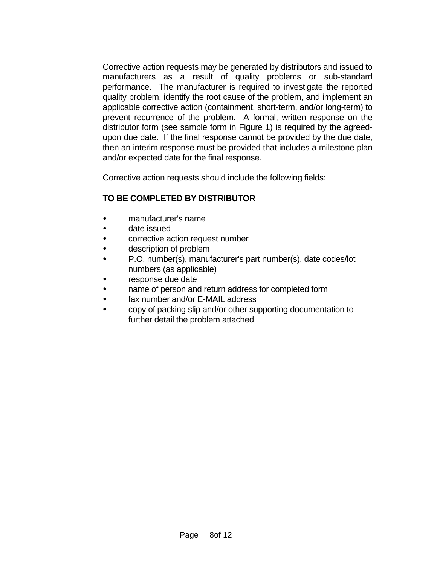Corrective action requests may be generated by distributors and issued to manufacturers as a result of quality problems or sub-standard performance. The manufacturer is required to investigate the reported quality problem, identify the root cause of the problem, and implement an applicable corrective action (containment, short-term, and/or long-term) to prevent recurrence of the problem. A formal, written response on the distributor form (see sample form in Figure 1) is required by the agreedupon due date. If the final response cannot be provided by the due date, then an interim response must be provided that includes a milestone plan and/or expected date for the final response.

Corrective action requests should include the following fields:

# **TO BE COMPLETED BY DISTRIBUTOR**

- ü manufacturer's name
- date issued
- corrective action request number
- description of problem
- P.O. number(s), manufacturer's part number(s), date codes/lot numbers (as applicable)
- response due date
- hame of person and return address for completed form
- fax number and/or E-MAIL address
- ü copy of packing slip and/or other supporting documentation to further detail the problem attached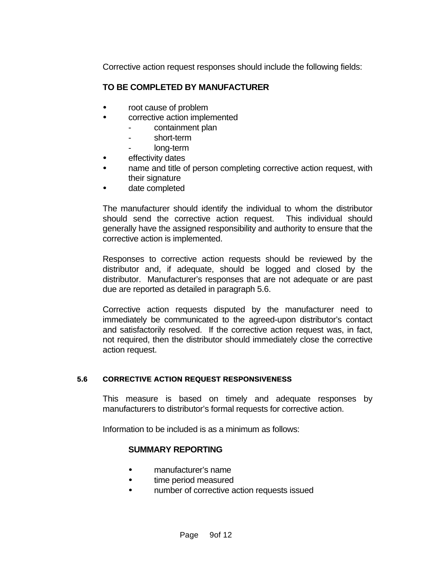Corrective action request responses should include the following fields:

# **TO BE COMPLETED BY MANUFACTURER**

- root cause of problem
- corrective action implemented
	- containment plan
	- short-term
	- long-term
- effectivity dates
- hame and title of person completing corrective action request, with their signature
- date completed

The manufacturer should identify the individual to whom the distributor should send the corrective action request. This individual should generally have the assigned responsibility and authority to ensure that the corrective action is implemented.

Responses to corrective action requests should be reviewed by the distributor and, if adequate, should be logged and closed by the distributor. Manufacturer's responses that are not adequate or are past due are reported as detailed in paragraph 5.6.

Corrective action requests disputed by the manufacturer need to immediately be communicated to the agreed-upon distributor's contact and satisfactorily resolved. If the corrective action request was, in fact, not required, then the distributor should immediately close the corrective action request.

# **5.6 CORRECTIVE ACTION REQUEST RESPONSIVENESS**

This measure is based on timely and adequate responses by manufacturers to distributor's formal requests for corrective action.

Information to be included is as a minimum as follows:

# **SUMMARY REPORTING**

- manufacturer's name
- time period measured
- number of corrective action requests issued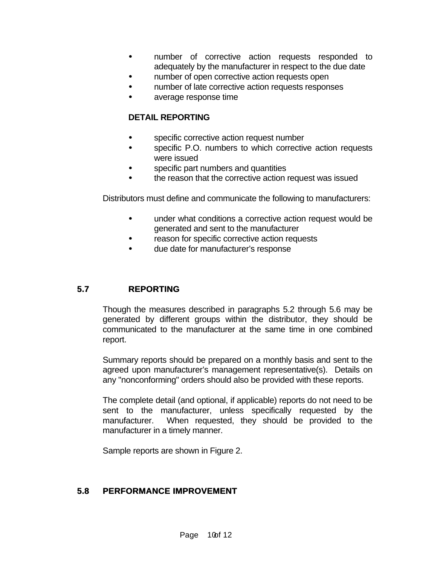- number of corrective action requests responded to adequately by the manufacturer in respect to the due date
- number of open corrective action requests open
- number of late corrective action requests responses
- ü average response time

# **DETAIL REPORTING**

- specific corrective action request number
- specific P.O. numbers to which corrective action requests were issued
- specific part numbers and quantities
- the reason that the corrective action request was issued

Distributors must define and communicate the following to manufacturers:

- under what conditions a corrective action request would be generated and sent to the manufacturer
- reason for specific corrective action requests
- due date for manufacturer's response

# **5.7 REPORTING**

Though the measures described in paragraphs 5.2 through 5.6 may be generated by different groups within the distributor, they should be communicated to the manufacturer at the same time in one combined report.

Summary reports should be prepared on a monthly basis and sent to the agreed upon manufacturer's management representative(s). Details on any "nonconforming" orders should also be provided with these reports.

The complete detail (and optional, if applicable) reports do not need to be sent to the manufacturer, unless specifically requested by the manufacturer. When requested, they should be provided to the manufacturer in a timely manner.

Sample reports are shown in Figure 2.

# **5.8 PERFORMANCE IMPROVEMENT**